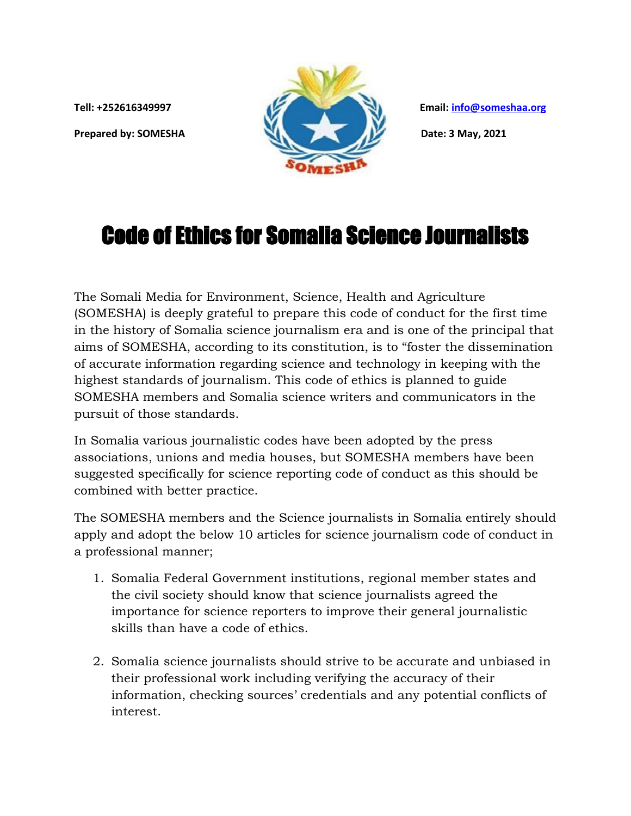

## Code of Ethics for Somalia Science Journalists

The Somali Media for Environment, Science, Health and Agriculture (SOMESHA) is deeply grateful to prepare this code of conduct for the first time in the history of Somalia science journalism era and is one of the principal that aims of SOMESHA, according to its constitution, is to "foster the dissemination of accurate information regarding science and technology in keeping with the highest standards of journalism. This code of ethics is planned to guide SOMESHA members and Somalia science writers and communicators in the pursuit of those standards.

In Somalia various journalistic codes have been adopted by the press associations, unions and media houses, but SOMESHA members have been suggested specifically for science reporting code of conduct as this should be combined with better practice.

The SOMESHA members and the Science journalists in Somalia entirely should apply and adopt the below 10 articles for science journalism code of conduct in a professional manner;

- 1. Somalia Federal Government institutions, regional member states and the civil society should know that science journalists agreed the importance for science reporters to improve their general journalistic skills than have a code of ethics.
- 2. Somalia science journalists should strive to be accurate and unbiased in their professional work including verifying the accuracy of their information, checking sources' credentials and any potential conflicts of interest.